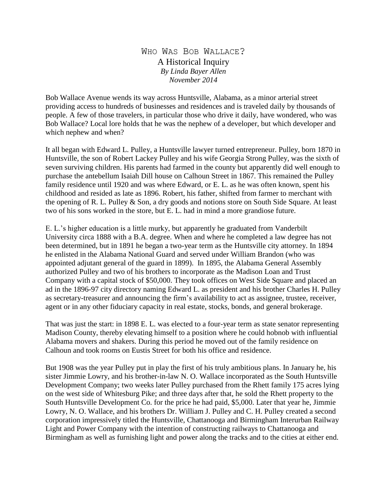WHO WAS BOB WALLACE? A Historical Inquiry *By Linda Bayer Allen November 2014*

Bob Wallace Avenue wends its way across Huntsville, Alabama, as a minor arterial street providing access to hundreds of businesses and residences and is traveled daily by thousands of people. A few of those travelers, in particular those who drive it daily, have wondered, who was Bob Wallace? Local lore holds that he was the nephew of a developer, but which developer and which nephew and when?

It all began with Edward L. Pulley, a Huntsville lawyer turned entrepreneur. Pulley, born 1870 in Huntsville, the son of Robert Lackey Pulley and his wife Georgia Strong Pulley, was the sixth of seven surviving children. His parents had farmed in the county but apparently did well enough to purchase the antebellum Isaiah Dill house on Calhoun Street in 1867. This remained the Pulley family residence until 1920 and was where Edward, or E. L. as he was often known, spent his childhood and resided as late as 1896. Robert, his father, shifted from farmer to merchant with the opening of R. L. Pulley & Son, a dry goods and notions store on South Side Square. At least two of his sons worked in the store, but E. L. had in mind a more grandiose future.

E. L.'s higher education is a little murky, but apparently he graduated from Vanderbilt University circa 1888 with a B.A. degree. When and where he completed a law degree has not been determined, but in 1891 he began a two-year term as the Huntsville city attorney. In 1894 he enlisted in the Alabama National Guard and served under William Brandon (who was appointed adjutant general of the guard in 1899). In 1895, the Alabama General Assembly authorized Pulley and two of his brothers to incorporate as the Madison Loan and Trust Company with a capital stock of \$50,000. They took offices on West Side Square and placed an ad in the 1896-97 city directory naming Edward L. as president and his brother Charles H. Pulley as secretary-treasurer and announcing the firm's availability to act as assignee, trustee, receiver, agent or in any other fiduciary capacity in real estate, stocks, bonds, and general brokerage.

That was just the start: in 1898 E. L. was elected to a four-year term as state senator representing Madison County, thereby elevating himself to a position where he could hobnob with influential Alabama movers and shakers. During this period he moved out of the family residence on Calhoun and took rooms on Eustis Street for both his office and residence.

But 1908 was the year Pulley put in play the first of his truly ambitious plans. In January he, his sister Jimmie Lowry, and his brother-in-law N. O. Wallace incorporated as the South Huntsville Development Company; two weeks later Pulley purchased from the Rhett family 175 acres lying on the west side of Whitesburg Pike; and three days after that, he sold the Rhett property to the South Huntsville Development Co. for the price he had paid, \$5,000. Later that year he, Jimmie Lowry, N. O. Wallace, and his brothers Dr. William J. Pulley and C. H. Pulley created a second corporation impressively titled the Huntsville, Chattanooga and Birmingham Interurban Railway Light and Power Company with the intention of constructing railways to Chattanooga and Birmingham as well as furnishing light and power along the tracks and to the cities at either end.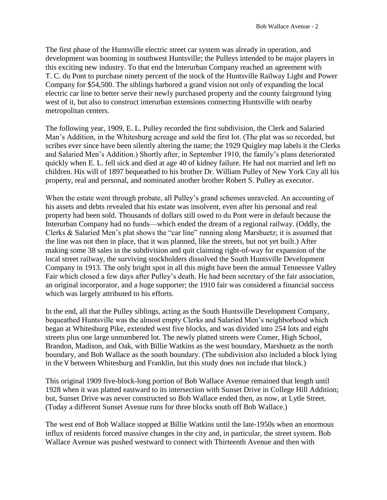The first phase of the Huntsville electric street car system was already in operation, and development was booming in southwest Huntsville; the Pulleys intended to be major players in this exciting new industry. To that end the Interurban Company reached an agreement with T. C. du Pont to purchase ninety percent of the stock of the Huntsville Railway Light and Power Company for \$54,500. The siblings harbored a grand vision not only of expanding the local electric car line to better serve their newly purchased property and the county fairground lying west of it, but also to construct interurban extensions connecting Huntsville with nearby metropolitan centers.

The following year, 1909, E. L. Pulley recorded the first subdivision, the Clerk and Salaried Man's Addition, in the Whitesburg acreage and sold the first lot. (The plat was so recorded, but scribes ever since have been silently altering the name; the 1929 Quigley map labels it the Clerks and Salaried Men's Addition.) Shortly after, in September 1910, the family's plans deteriorated quickly when E. L. fell sick and died at age 40 of kidney failure. He had not married and left no children. His will of 1897 bequeathed to his brother Dr. William Pulley of New York City all his property, real and personal, and nominated another brother Robert S. Pulley as executor.

When the estate went through probate, all Pulley's grand schemes unraveled. An accounting of his assets and debts revealed that his estate was insolvent, even after his personal and real property had been sold. Thousands of dollars still owed to du Pont were in default because the Interurban Company had no funds—which ended the dream of a regional railway. (Oddly, the Clerks & Salaried Men's plat shows the "car line" running along Marshuetz; it is assumed that the line was not then in place, that it was planned, like the streets, but not yet built.) After making some 38 sales in the subdivision and quit claiming right-of-way for expansion of the local street railway, the surviving stockholders dissolved the South Huntsville Development Company in 1913. The only bright spot in all this might have been the annual Tennessee Valley Fair which closed a few days after Pulley's death. He had been secretary of the fair association, an original incorporator, and a huge supporter; the 1910 fair was considered a financial success which was largely attributed to his efforts.

In the end, all that the Pulley siblings, acting as the South Huntsville Development Company, bequeathed Huntsville was the almost empty Clerks and Salaried Men's neighborhood which began at Whitesburg Pike, extended west five blocks, and was divided into 254 lots and eight streets plus one large unnumbered lot. The newly platted streets were Comer, High School, Brandon, Madison, and Oak, with Billie Watkins as the west boundary, Marshuetz as the north boundary, and Bob Wallace as the south boundary. (The subdivision also included a block lying in the V between Whitesburg and Franklin, but this study does not include that block.)

This original 1909 five-block-long portion of Bob Wallace Avenue remained that length until 1928 when it was platted eastward to its intersection with Sunset Drive in College Hill Addition; but, Sunset Drive was never constructed so Bob Wallace ended then, as now, at Lytle Street. (Today a different Sunset Avenue runs for three blocks south off Bob Wallace.)

The west end of Bob Wallace stopped at Billie Watkins until the late-1950s when an enormous influx of residents forced massive changes in the city and, in particular, the street system. Bob Wallace Avenue was pushed westward to connect with Thirteenth Avenue and then with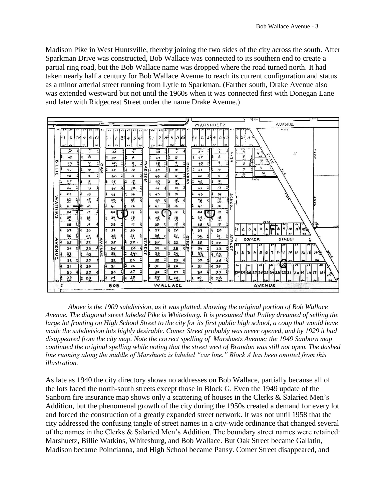Madison Pike in West Huntsville, thereby joining the two sides of the city across the south. After Sparkman Drive was constructed, Bob Wallace was connected to its southern end to create a partial ring road, but the Bob Wallace name was dropped where the road turned north. It had taken nearly half a century for Bob Wallace Avenue to reach its current configuration and status as a minor arterial street running from Lytle to Sparkman. (Farther south, Drake Avenue also was extended westward but not until the 1960s when it was connected first with Donegan Lane and later with Ridgecrest Street under the name Drake Avenue.)



*Above is the 1909 subdivision, as it was platted, showing the original portion of Bob Wallace Avenue. The diagonal street labeled Pike is Whitesburg. It is presumed that Pulley dreamed of selling the large lot fronting on High School Street to the city for its first public high school, a coup that would have made the subdivision lots highly desirable. Comer Street probably was never opened, and by 1929 it had disappeared from the city map. Note the correct spelling of Marshuetz Avenue; the 1949 Sanborn map continued the original spelling while noting that the street west of Brandon was still not open. The dashed line running along the middle of Marshuetz is labeled "car line." Block A has been omitted from this illustration.*

As late as 1940 the city directory shows no addresses on Bob Wallace, partially because all of the lots faced the north-south streets except those in Block G. Even the 1949 update of the Sanborn fire insurance map shows only a scattering of houses in the Clerks & Salaried Men's Addition, but the phenomenal growth of the city during the 1950s created a demand for every lot and forced the construction of a greatly expanded street network. It was not until 1958 that the city addressed the confusing tangle of street names in a city-wide ordinance that changed several of the names in the Clerks & Salaried Men's Addition. The boundary street names were retained: Marshuetz, Billie Watkins, Whitesburg, and Bob Wallace. But Oak Street became Gallatin, Madison became Poincianna, and High School became Pansy. Comer Street disappeared, and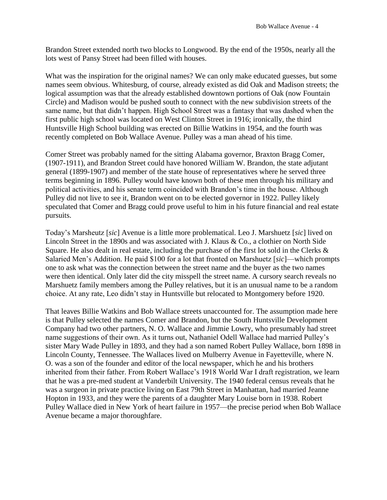Brandon Street extended north two blocks to Longwood. By the end of the 1950s, nearly all the lots west of Pansy Street had been filled with houses.

What was the inspiration for the original names? We can only make educated guesses, but some names seem obvious. Whitesburg, of course, already existed as did Oak and Madison streets; the logical assumption was that the already established downtown portions of Oak (now Fountain Circle) and Madison would be pushed south to connect with the new subdivision streets of the same name, but that didn't happen. High School Street was a fantasy that was dashed when the first public high school was located on West Clinton Street in 1916; ironically, the third Huntsville High School building was erected on Billie Watkins in 1954, and the fourth was recently completed on Bob Wallace Avenue. Pulley was a man ahead of his time.

Comer Street was probably named for the sitting Alabama governor, Braxton Bragg Comer, (1907-1911), and Brandon Street could have honored William W. Brandon, the state adjutant general (1899-1907) and member of the state house of representatives where he served three terms beginning in 1896. Pulley would have known both of these men through his military and political activities, and his senate term coincided with Brandon's time in the house. Although Pulley did not live to see it, Brandon went on to be elected governor in 1922. Pulley likely speculated that Comer and Bragg could prove useful to him in his future financial and real estate pursuits.

Today's Marsheutz [*sic*] Avenue is a little more problematical. Leo J. Marshuetz [*sic*] lived on Lincoln Street in the 1890s and was associated with J. Klaus & Co., a clothier on North Side Square. He also dealt in real estate, including the purchase of the first lot sold in the Clerks  $\&$ Salaried Men's Addition. He paid \$100 for a lot that fronted on Marshuetz [*sic*]—which prompts one to ask what was the connection between the street name and the buyer as the two names were then identical. Only later did the city misspell the street name. A cursory search reveals no Marshuetz family members among the Pulley relatives, but it is an unusual name to be a random choice. At any rate, Leo didn't stay in Huntsville but relocated to Montgomery before 1920.

That leaves Billie Watkins and Bob Wallace streets unaccounted for. The assumption made here is that Pulley selected the names Comer and Brandon, but the South Huntsville Development Company had two other partners, N. O. Wallace and Jimmie Lowry, who presumably had street name suggestions of their own. As it turns out, Nathaniel Odell Wallace had married Pulley's sister Mary Wade Pulley in 1893, and they had a son named Robert Pulley Wallace, born 1898 in Lincoln County, Tennessee. The Wallaces lived on Mulberry Avenue in Fayetteville, where N. O. was a son of the founder and editor of the local newspaper, which he and his brothers inherited from their father. From Robert Wallace's 1918 World War I draft registration, we learn that he was a pre-med student at Vanderbilt University. The 1940 federal census reveals that he was a surgeon in private practice living on East 79th Street in Manhattan, had married Jeanne Hopton in 1933, and they were the parents of a daughter Mary Louise born in 1938. Robert Pulley Wallace died in New York of heart failure in 1957—the precise period when Bob Wallace Avenue became a major thoroughfare.